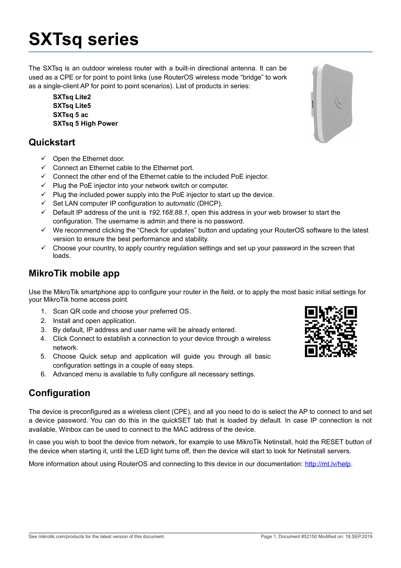# **SXTsq series**

The SXTsq is an outdoor wireless router with a built-in directional antenna. It can be used as a CPE or for point to point links (use RouterOS wireless mode "bridge" to work as a single-client AP for point to point scenarios). List of products in series:

**SXTsq Lite2 SXTsq Lite5 SXTsq 5 ac SXTsq 5 High Power**

## **Quickstart**

- $\checkmark$  Open the Ethernet door.
- $\checkmark$  Connect an Ethernet cable to the Ethernet port.
- $\checkmark$  Connect the other end of the Ethernet cable to the included PoE injector.
- $\checkmark$  Plug the PoE injector into your network switch or computer.
- $\checkmark$  Plug the included power supply into the PoE injector to start up the device.
- Set LAN computer IP configuration to *automatic* (DHCP).
- Default IP address of the unit is *192.168.88.1*, open this address in your web browser to start the configuration. The username is admin and there is no password.
- We recommend clicking the "Check for updates" button and updating your RouterOS software to the latest version to ensure the best performance and stability.
- $\checkmark$  Choose your country, to apply country regulation settings and set up your password in the screen that loads.

## **MikroTik mobile app**

Use the MikroTik smartphone app to configure your router in the field, or to apply the most basic initial settings for your MikroTik home access point.

- 1. Scan QR code and choose your preferred OS.
- 2. Install and open application.
- 3. By default, IP address and user name will be already entered.
- 4. Click Connect to establish a connection to your device through a wireless network.
- 5. Choose Quick setup and application will guide you through all basic configuration settings in a couple of easy steps.
- 6. Advanced menu is available to fully configure all necessary settings.

# **Configuration**

The device is preconfigured as a wireless client (CPE), and all you need to do is select the AP to connect to and set a device password. You can do this in the quickSET tab that is loaded by default. In case IP connection is not available, Winbox can be used to connect to the MAC address of the device.

In case you wish to boot the device from network, for example to use MikroTik Netinstall, hold the RESET button of the device when starting it, until the LED light turns off, then the device will start to look for Netinstall servers.

More information about using RouterOS and connecting to this device in our documentation: [http://mt.lv/help.](http://mt.lv/help)

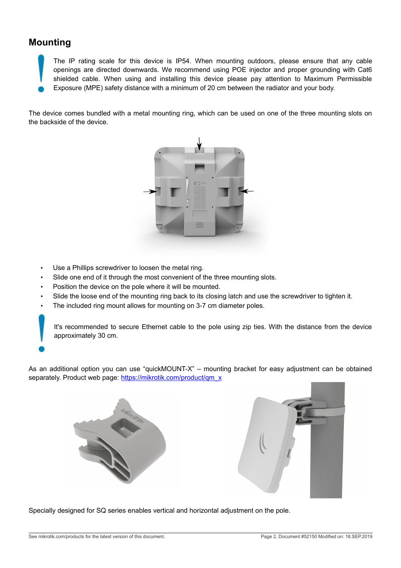## **Mounting**

The IP rating scale for this device is IP54. When mounting outdoors, please ensure that any cable openings are directed downwards. We recommend using POE injector and proper grounding with Cat6 shielded cable. When using and installing this device please pay attention to Maximum Permissible Exposure (MPE) safety distance with a minimum of 20 cm between the radiator and your body.

The device comes bundled with a metal mounting ring, which can be used on one of the three mounting slots on the backside of the device.



- Use a Phillips screwdriver to loosen the metal ring.
- Slide one end of it through the most convenient of the three mounting slots.
- Position the device on the pole where it will be mounted.
- Slide the loose end of the mounting ring back to its closing latch and use the screwdriver to tighten it.
- The included ring mount allows for mounting on 3-7 cm diameter poles.

It's recommended to secure Ethernet cable to the pole using zip ties. With the distance from the device approximately 30 cm.

As an additional option you can use "quickMOUNT-X" – mounting bracket for easy adjustment can be obtained separately. Product web page: [https://mikrotik.com/product/qm\\_x](https://mikrotik.com/product/qm_x)





Specially designed for SQ series enables vertical and horizontal adjustment on the pole.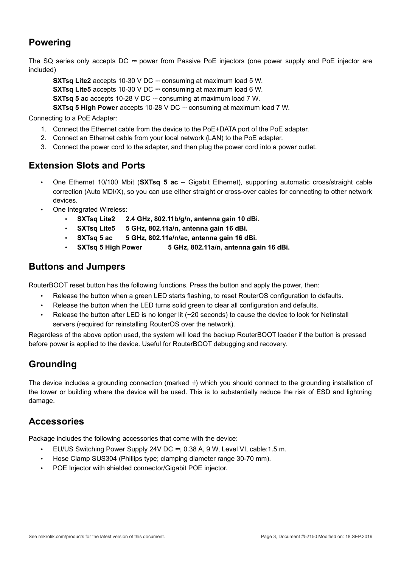# **Powering**

The SQ series only accepts DC = power from Passive PoE injectors (one power supply and PoE injector are included)

**SXTsq Lite2** accepts 10-30 V DC = consuming at maximum load 5 W. **SXTsq Lite5** accepts 10-30 V DC = consuming at maximum load 6 W. **SXTsq 5 ac** accepts 10-28 V DC = consuming at maximum load 7 W. **SXTsq 5 High Power** accepts 10-28 V DC = consuming at maximum load 7 W.

Connecting to a PoE Adapter:

- 1. Connect the Ethernet cable from the device to the PoE+DATA port of the PoE adapter.
- 2. Connect an Ethernet cable from your local network (LAN) to the PoE adapter.
- 3. Connect the power cord to the adapter, and then plug the power cord into a power outlet.

#### **Extension Slots and Ports**

- One Ethernet 10/100 Mbit (**SXTsq 5 ac –** Gigabit Ethernet), supporting automatic cross/straight cable correction (Auto MDI/X), so you can use either straight or cross-over cables for connecting to other network devices.
- One Integrated Wireless:
	- **SXTsq Lite2 2.4 GHz, 802.11b/g/n, antenna gain 10 dBi.**
	- **SXTsq Lite5 5 GHz, 802.11a/n, antenna gain 16 dBi.**
	- **SXTsq 5 ac 5 GHz, 802.11a/n/ac, antenna gain 16 dBi.**
	- **SXTsq 5 High Power 5 GHz, 802.11a/n, antenna gain 16 dBi.**

#### **Buttons and Jumpers**

RouterBOOT reset button has the following functions. Press the button and apply the power, then:

- Release the button when a green LED starts flashing, to reset RouterOS configuration to defaults.
- Release the button when the LED turns solid green to clear all configuration and defaults.
- Release the button after LED is no longer lit (~20 seconds) to cause the device to look for Netinstall servers (required for reinstalling RouterOS over the network).

Regardless of the above option used, the system will load the backup RouterBOOT loader if the button is pressed before power is applied to the device. Useful for RouterBOOT debugging and recovery.

# **Grounding**

The device includes a grounding connection (marked  $\frac{1}{2}$ ) which you should connect to the grounding installation of the tower or building where the device will be used. This is to substantially reduce the risk of ESD and lightning damage.

## **Accessories**

Package includes the following accessories that come with the device:

- EU/US Switching Power Supply 24V DC ⎓, 0.38 A, 9 W, Level VI, cable:1.5 m.
- Hose Clamp SUS304 (Phillips type; clamping diameter range 30-70 mm).
- POE Injector with shielded connector/Gigabit POE injector.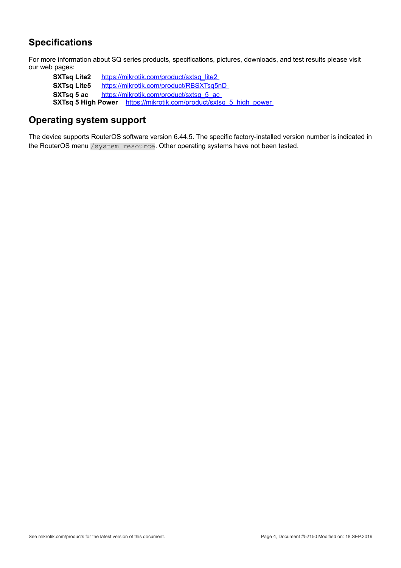# **Specifications**

For more information about SQ series products, specifications, pictures, downloads, and test results please visit our web pages:

**SXTsq Lite2** https://mikrotik.com/product/sxtsq\_lite2 **SXTsq Lite5** <https://mikrotik.com/product/RBSXTsq5nD> **SXTsq 5 ac https://mikrotik.com/product/sxtsq 5 ac SXTsq 5 High Power** https://mikrotik.com/product/sxtsq\_5\_high\_power

# **Operating system support**

The device supports RouterOS software version 6.44.5. The specific factory-installed version number is indicated in the RouterOS menu /system resource. Other operating systems have not been tested.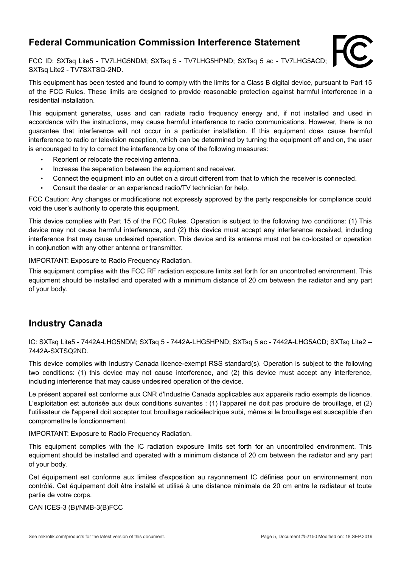## **Federal Communication Commission Interference Statement**

FCC ID: SXTsq Lite5 - TV7LHG5NDM; SXTsq 5 - TV7LHG5HPND; SXTsq 5 ac - TV7LHG5ACD; SXTsq Lite2 - TV7SXTSQ-2ND.



This equipment has been tested and found to comply with the limits for a Class B digital device, pursuant to Part 15 of the FCC Rules. These limits are designed to provide reasonable protection against harmful interference in a residential installation.

This equipment generates, uses and can radiate radio frequency energy and, if not installed and used in accordance with the instructions, may cause harmful interference to radio communications. However, there is no guarantee that interference will not occur in a particular installation. If this equipment does cause harmful interference to radio or television reception, which can be determined by turning the equipment off and on, the user is encouraged to try to correct the interference by one of the following measures:

- Reorient or relocate the receiving antenna.
- Increase the separation between the equipment and receiver.
- Connect the equipment into an outlet on a circuit different from that to which the receiver is connected.
- Consult the dealer or an experienced radio/TV technician for help.

FCC Caution: Any changes or modifications not expressly approved by the party responsible for compliance could void the user's authority to operate this equipment.

This device complies with Part 15 of the FCC Rules. Operation is subject to the following two conditions: (1) This device may not cause harmful interference, and (2) this device must accept any interference received, including interference that may cause undesired operation. This device and its antenna must not be co-located or operation in conjunction with any other antenna or transmitter.

IMPORTANT: Exposure to Radio Frequency Radiation.

This equipment complies with the FCC RF radiation exposure limits set forth for an uncontrolled environment. This equipment should be installed and operated with a minimum distance of 20 cm between the radiator and any part of your body.

#### **Industry Canada**

IC: SXTsq Lite5 - 7442A-LHG5NDM; SXTsq 5 - 7442A-LHG5HPND; SXTsq 5 ac - 7442A-LHG5ACD; SXTsq Lite2 – 7442A-SXTSQ2ND.

This device complies with Industry Canada licence-exempt RSS standard(s). Operation is subject to the following two conditions: (1) this device may not cause interference, and (2) this device must accept any interference, including interference that may cause undesired operation of the device.

Le présent appareil est conforme aux CNR d'Industrie Canada applicables aux appareils radio exempts de licence. L'exploitation est autorisée aux deux conditions suivantes : (1) l'appareil ne doit pas produire de brouillage, et (2) l'utilisateur de l'appareil doit accepter tout brouillage radioélectrique subi, même si le brouillage est susceptible d'en compromettre le fonctionnement.

IMPORTANT: Exposure to Radio Frequency Radiation.

This equipment complies with the IC radiation exposure limits set forth for an uncontrolled environment. This equipment should be installed and operated with a minimum distance of 20 cm between the radiator and any part of your body.

Cet équipement est conforme aux limites d'exposition au rayonnement IC définies pour un environnement non contrôlé. Cet équipement doit être installé et utilisé à une distance minimale de 20 cm entre le radiateur et toute partie de votre corps.

CAN ICES-3 (B)/NMB-3(B)FCC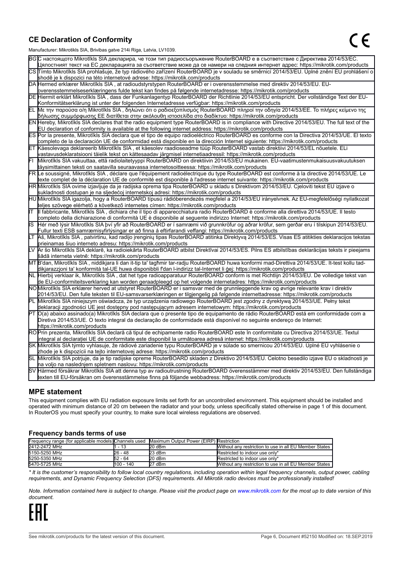#### **CE Declaration of Conformity**

Manufacturer: Mikrotikls SIA, Brivibas gatve 214i Riga, Latvia, LV1039.

|    | ividi iulaciui ci . Iviiri olinis OIA, Diivibas yatvo Z III inga, Latvia, Lv 1009                                                                                                                                                                         |
|----|-----------------------------------------------------------------------------------------------------------------------------------------------------------------------------------------------------------------------------------------------------------|
|    | ВСС настоящото Mikrotīkls SIA декларира, че този тип радиосъоръжение RouterBOARD е в съответствие с Директива 2014/53/EC.                                                                                                                                 |
|    | Цялостният текст на ЕС декларацията за съответствие може да се намери на следния интернет адрес: https://mikrotik.com/products                                                                                                                            |
|    | CS Tímto Mikrotīkls SIA prohlašuje, že typ rádiového zařízení RouterBOARD je v souladu se směrnicí 2014/53/EU. Úplné znění EU prohlášení o                                                                                                                |
|    | shodě je k dispozici na této internetové adrese: https://mikrotik.com/products                                                                                                                                                                            |
|    | DA Hermed erklærer Mikrotīkls SIA, at radioudstyrstypen RouterBOARD er i overensstemmelse med direktiv 2014/53/EU. EU-                                                                                                                                    |
|    | overensstemmelseserklæringens fulde tekst kan findes på følgende internetadresse: https://mikrotik.com/products                                                                                                                                           |
|    | DE Hiermit erklärt Mikrotīkls SIA, dass der Funkanlagentyp RouterBOARD der Richtlinie 2014/53/EU entspricht. Der vollständige Text der EU-                                                                                                                |
|    | Konformitätserklärung ist unter der folgenden Internetadresse verfügbar: https://mikrotik.com/products                                                                                                                                                    |
| ΕL | Με την παρούσα ο/η Mikrotīkls SIA, δηλώνει ότι ο ραδιοεξοπλισμός RouterBOARD πληροί την οδηγία 2014/53/ΕΕ. Το πλήρες κείμενο της<br>δήλωσης συμμόρφωσης ΕΕ διατίθεται στην ακόλουθη ιστοσελίδα στο διαδίκτυο: https://mikrotik.com/products               |
|    | EN Hereby, Mikrotīkls SIA declares that the radio equipment type RouterBOARD is in compliance with Directive 2014/53/EU. The full text of the                                                                                                             |
|    | EU declaration of conformity is available at the following internet address: https://mikrotik.com/products                                                                                                                                                |
|    | ES Por la presente, Mikrotīkls SIA declara que el tipo de equipo radioeléctrico RouterBOARD es conforme con la Directiva 2014/53/UE. El texto                                                                                                             |
|    | completo de la declaración UE de conformidad está disponible en la dirección Internet siguiente: https://mikrotik.com/products                                                                                                                            |
|    | ET Käesolevaga deklareerib Mikrotīkls SIA, et käesolev raadioseadme tüüp RouterBOARD vastab direktiivi 2014/53/EL nõuetele. ELi                                                                                                                           |
|    | vastavusdeklaratsiooni täielik tekst on kättesaadav järgmisel internetiaadressil: https://mikrotik.com/products                                                                                                                                           |
|    | Mikrotīkls SIA vakuuttaa, että radiolaitetyyppi RouterBOARD on direktiivin 2014/53/EU mukainen. EU-vaatimustenmukaisuusvakuutuksen                                                                                                                        |
|    | täysimittainen teksti on saatavilla seuraavassa internetosoitteessa: https://mikrotik.com/products                                                                                                                                                        |
|    | FR Le soussigné, Mikrotīkls SIA , déclare que l'équipement radioélectrique du type RouterBOARD est conforme à la directive 2014/53/UE. Le                                                                                                                 |
|    | texte complet de la déclaration UE de conformité est disponible à l'adresse internet suivante: https://mikrotik.com/products                                                                                                                              |
|    | HR Mikrotīkls SIA ovime izjavljuje da je radijska oprema tipa RouterBOARD u skladu s Direktivom 2014/53/EU. Cjeloviti tekst EU izjave o                                                                                                                   |
|    | sukladnosti dostupan je na sljedećoj internetskoj adresi: https://mikrotik.com/products                                                                                                                                                                   |
|    | HU Mikrotīkls SIA igazolja, hogy a RouterBOARD típusú rádióberendezés megfelel a 2014/53/EU irányelvnek. Az EU-megfelelőségi nyilatkozat                                                                                                                  |
|    | teljes szövege elérhető a következő internetes címen: https://mikrotik.com/products                                                                                                                                                                       |
| lΤ | Il fabbricante, Mikrotīkls SIA, dichiara che il tipo di apparecchiatura radio RouterBOARD è conforme alla direttiva 2014/53/UE. Il testo                                                                                                                  |
|    | completo della dichiarazione di conformità UE è disponibile al seguente indirizzo Internet: https://mikrotik.com/products                                                                                                                                 |
| IS | Hér með lýsir Mikrotīkls SIA því yfir að RouterBOARD er í samræmi við grunnkröfur og aðrar kröfur, sem gerðar eru í tilskipun 2014/53/EU.                                                                                                                 |
|    | Fullur texti ESB samræmisyfirlýsingar er að finna á eftirfarandi veffangi: https://mikrotik.com/products                                                                                                                                                  |
| LТ | Aš, Mikrotīkls SIA, patvirtinu, kad radijo įrenginių tipas RouterBOARD atitinka Direktyvą 2014/53/ES. Visas ES atitikties deklaracijos tekstas                                                                                                            |
|    | prieinamas šiuo interneto adresu: https://mikrotik.com/products                                                                                                                                                                                           |
|    | Ar šo Mikrotīkls SIA deklarē, ka radioiekārta RouterBOARD atbilst Direktīvai 2014/53/ES. Pilns ES atbilstības deklarācijas teksts ir pieejams                                                                                                             |
|    | šādā interneta vietnē: https://mikrotik.com/products                                                                                                                                                                                                      |
|    | MT B'dan, Mikrotīkls SIA , niddikjara li dan it-tip ta' tagħmir tar-radju RouterBOARD huwa konformi mad-Direttiva 2014/53/UE. It-test kollu tad-                                                                                                          |
|    | dikjarazzjoni ta' konformità tal-UE huwa disponibbli f'dan l-indirizz tal-Internet li ġej: https://mikrotik.com/products                                                                                                                                  |
|    | NL  Hierbij verklaar ik, Mikrotīkls SIA , dat het type radioapparatuur RouterBOARD conform is met Richtlijn 2014/53/EU. De volledige tekst van                                                                                                            |
|    | de EU-conformiteitsverklaring kan worden geraadpleegd op het volgende internetadres: https://mikrotik.com/products<br>NOMikrotīkls SIA erklærer herved at utstyret RouterBOARD er i samsvar med de grunnleggende krav og øvrige relevante krav i direktiv |
|    | 2014/53/EU. Den fulle teksten til EU-samsvarserklæringen er tilgjengelig på følgende internettadresse: https://mikrotik.com/products                                                                                                                      |
|    | Mikrotīkls SIA niniejszym oświadcza, że typ urządzenia radiowego RouterBOARD jest zgodny z dyrektywą 2014/53/UE. Pełny tekst                                                                                                                              |
|    | deklaracji zgodności UE jest dostępny pod następującym adresem internetowym: https://mikrotik.com/products                                                                                                                                                |
|    | PT O(a) abaixo assinado(a) Mikrotīkls SIA declara que o presente tipo de equipamento de rádio RouterBOARD está em conformidade com a                                                                                                                      |
|    | Diretiva 2014/53/UE. O texto integral da declaração de conformidade está disponível no seguinte endereço de Internet:                                                                                                                                     |
|    | https://mikrotik.com/products                                                                                                                                                                                                                             |
|    | ROPrin prezenta, Mikrotīkls SIA declară că tipul de echipamente radio RouterBOARD este în conformitate cu Directiva 2014/53/UE. Textul                                                                                                                    |
|    | integral al declaratiei UE de conformitate este disponibil la următoarea adresă internet: https://mikrotik.com/products                                                                                                                                   |
|    | SK Mikrotīkls SIA týmto vyhlasuje, že rádiové zariadenie typu RouterBOARD je v súlade so smernicou 2014/53/EÚ. Úplné EÚ vyhlásenie o                                                                                                                      |
|    | zhode je k dispozícii na tejto internetovej adrese: https://mikrotik.com/products                                                                                                                                                                         |
|    | SL Mikrotīkls SIA potrjuje, da je tip radijske opreme RouterBOARD skladen z Direktivo 2014/53/EU. Celotno besedilo izjave EU o skladnosti je                                                                                                              |
|    | na voljo na naslednjem spletnem naslovu: https://mikrotik.com/products                                                                                                                                                                                    |
|    | SV Härmed försäkrar Mikrotīkls SIA att denna typ av radioutrustning RouterBOARD överensstämmer med direktiv 2014/53/EU. Den fullständiga                                                                                                                  |
|    | texten till EU-försäkran om överensstämmelse finns på följande webbadress: https://mikrotik.com/products                                                                                                                                                  |

#### **MPE statement**

This equipment complies with EU radiation exposure limits set forth for an uncontrolled environment. This equipment should be installed and operated with minimum distance of 20 cm between the radiator and your body, unless specifically stated otherwise in page 1 of this document. In RouterOS you must specify your country, to make sure local wireless regulations are observed.

#### **Frequency bands terms of use**

| Frequency range (for applicable models) Channels used Maximum Output Power (EIRP) Restriction |            |        |                                                        |
|-----------------------------------------------------------------------------------------------|------------|--------|--------------------------------------------------------|
| 2412-2472 MHz                                                                                 | - 13       | 20 dBm | Without any restriction to use in all EU Member States |
| 5150-5250 MHz                                                                                 | 26 - 48    | 23 dBm | Restricted to indoor use only*                         |
| 5250-5350 MHz                                                                                 | 52 - 64    | 20 dBm | Restricted to indoor use only*                         |
| 5470-5725 MHz                                                                                 | 1100 - 140 | 27 dBm | Without any restriction to use in all EU Member States |

*\* It is the customer's responsibility to follow local country regulations, including operation within legal frequency channels, output power, cabling requirements, and Dynamic Frequency Selection (DFS) requirements. All Mikrotik radio devices must be professionally installed!*

*Note. Information contained here is subject to change. Please visit the product page on [www.mikrotik.com](http://www.mikrotik.com/) for the most up to date version of this document.*